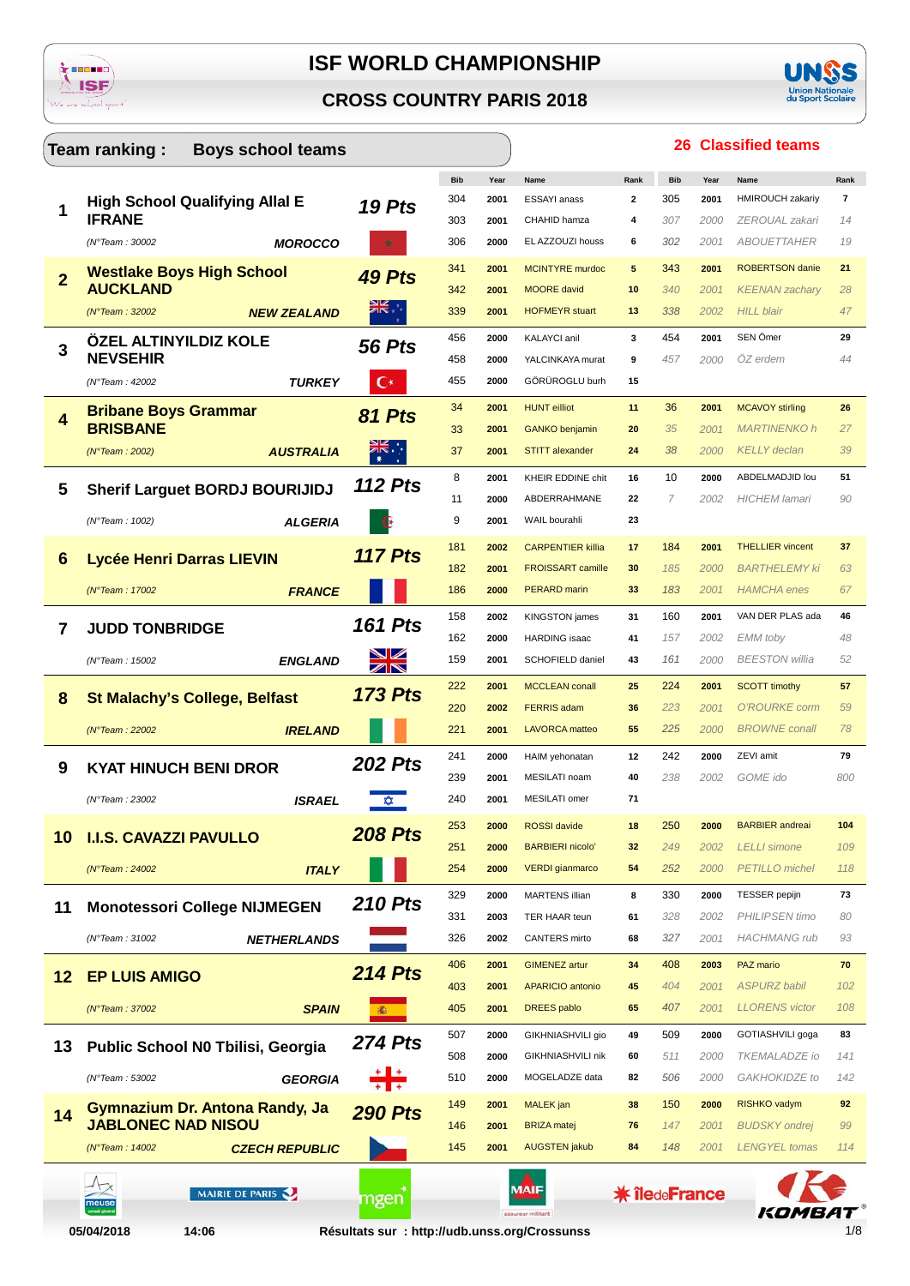





|                | Team ranking:<br><b>Boys school teams</b> |                |            |      |                                                   |                      |            |              | <b>26 Classified teams</b>                   |            |
|----------------|-------------------------------------------|----------------|------------|------|---------------------------------------------------|----------------------|------------|--------------|----------------------------------------------|------------|
|                |                                           |                | <b>Bib</b> | Year | Name                                              | Rank                 | <b>Bib</b> | Year         | Name                                         | Rank       |
| 1              | <b>High School Qualifying Allal E</b>     | 19 Pts         | 304        | 2001 | ESSAYI anass                                      | $\mathbf{2}$         | 305        | 2001         | <b>HMIROUCH zakariy</b>                      | 7          |
|                | <b>IFRANE</b>                             |                | 303        | 2001 | CHAHID hamza                                      | 4                    | 307        | 2000         | ZEROUAL zakari                               | 14         |
|                | (N°Team: 30002<br><b>MOROCCO</b>          |                | 306        | 2000 | EL AZZOUZI houss                                  | 6                    | 302        | 2001         | <b>ABOUETTAHER</b>                           | 19         |
| $\overline{2}$ | <b>Westlake Boys High School</b>          | 49 Pts         | 341        | 2001 | <b>MCINTYRE</b> murdoc                            | 5                    | 343        | 2001         | <b>ROBERTSON</b> danie                       | 21         |
|                | <b>AUCKLAND</b>                           |                | 342        | 2001 | <b>MOORE</b> david                                | 10                   | 340        | 2001         | <b>KEENAN</b> zachary                        | 28         |
|                | (N°Team : 32002)<br><b>NEW ZEALAND</b>    |                | 339        | 2001 | <b>HOFMEYR</b> stuart                             | 13                   | 338        | 2002         | <b>HILL blair</b>                            | 47         |
| 3              | ÖZEL ALTINYILDIZ KOLE                     | <b>56 Pts</b>  | 456        | 2000 | KALAYCI anil                                      | 3                    | 454        | 2001         | SEN Ömer                                     | 29         |
|                | <b>NEVSEHIR</b>                           |                | 458        | 2000 | YALCINKAYA murat                                  | 9                    | 457        | 2000         | $OZ$ erdem                                   | 44         |
|                | (N°Team: 42002<br><b>TURKEY</b>           | С×             | 455        | 2000 | GÖRÜROGLU burh                                    | 15                   |            |              |                                              |            |
| 4              | <b>Bribane Boys Grammar</b>               | 81 Pts         | 34         | 2001 | <b>HUNT</b> eilliot                               | 11                   | 36         | 2001         | <b>MCAVOY stirling</b>                       | 26         |
|                | <b>BRISBANE</b>                           |                | 33         | 2001 | <b>GANKO</b> benjamin                             | 20                   | 35         | 2001         | <b>MARTINENKO h</b>                          | 27         |
|                | <b>AUSTRALIA</b><br>(N°Team : 2002)       |                | 37         | 2001 | <b>STITT</b> alexander                            | 24                   | 38         | 2000         | <b>KELLY</b> declan                          | 39         |
|                |                                           | <b>112 Pts</b> | 8          | 2001 | <b>KHEIR EDDINE chit</b>                          | 16                   | 10         | 2000         | ABDELMADJID lou                              | 51         |
| 5              | <b>Sherif Larguet BORDJ BOURIJIDJ</b>     |                | 11         | 2000 | ABDERRAHMANE                                      | 22                   | 7          | 2002         | <b>HICHEM</b> lamari                         | 90         |
|                | (N°Team: 1002)<br><b>ALGERIA</b>          |                | 9          | 2001 | WAIL bourahli                                     | 23                   |            |              |                                              |            |
|                |                                           |                | 181        | 2002 | <b>CARPENTIER killia</b>                          | 17                   | 184        | 2001         | <b>THELLIER</b> vincent                      | 37         |
| 6              | Lycée Henri Darras LIEVIN                 | <b>117 Pts</b> | 182        | 2001 | <b>FROISSART camille</b>                          | 30                   | 185        | 2000         | <b>BARTHELEMY ki</b>                         | 63         |
|                | <b>FRANCE</b><br>(N°Team: 17002           |                | 186        | 2000 | PERARD marin                                      | 33                   | 183        | 2001         | <b>HAMCHA</b> enes                           | 67         |
|                |                                           |                | 158        | 2002 | <b>KINGSTON</b> james                             | 31                   | 160        | 2001         | VAN DER PLAS ada                             | 46         |
| 7              | <b>JUDD TONBRIDGE</b>                     | <b>161 Pts</b> | 162        | 2000 | <b>HARDING</b> isaac                              | 41                   | 157        | 2002         | <b>EMM</b> toby                              | 48         |
|                | (N°Team: 15002<br><b>ENGLAND</b>          | XR             | 159        | 2001 | SCHOFIELD daniel                                  | 43                   | 161        | 2000         | <b>BEESTON</b> willia                        | 52         |
|                |                                           |                | 222        | 2001 | <b>MCCLEAN</b> conall                             | 25                   | 224        | 2001         | <b>SCOTT timothy</b>                         | 57         |
| 8              | <b>St Malachy's College, Belfast</b>      | <b>173 Pts</b> | 220        | 2002 | <b>FERRIS adam</b>                                | 36                   | 223        | 2001         | O'ROURKE corm                                | 59         |
|                | <b>IRELAND</b><br>$(N°$ Team : 22002      |                | 221        | 2001 | <b>LAVORCA</b> matteo                             | 55                   | 225        | 2000         | <b>BROWNE</b> conall                         | 78         |
|                |                                           |                | 241        | 2000 | HAIM yehonatan                                    | 12                   | 242        | 2000         | ZEVI amit                                    | 79         |
| 9              | <b>KYAT HINUCH BENI DROR</b>              | <b>202 Pts</b> | 239        | 2001 | MESILATI noam                                     | 40                   | 238        | 2002         | GOME ido                                     | 800        |
|                | <b>ISRAEL</b><br>(N°Team: 23002           | <b>XX</b>      | 240        | 2001 | MESILATI omer                                     | 71                   |            |              |                                              |            |
|                |                                           |                |            |      |                                                   |                      |            |              |                                              |            |
| 10             | <b>I.I.S. CAVAZZI PAVULLO</b>             | <b>208 Pts</b> | 253        | 2000 | <b>ROSSI</b> davide                               | 18                   | 250        | 2000         | <b>BARBIER</b> andreai                       | 104        |
|                |                                           |                | 251<br>254 | 2000 | <b>BARBIERI nicolo'</b><br><b>VERDI</b> gianmarco | 32                   | 249<br>252 | 2002<br>2000 | <b>LELLI</b> simone<br><b>PETILLO</b> michel | 109<br>118 |
|                | $(N°$ Team : 24002<br><b>ITALY</b>        |                |            | 2000 |                                                   | 54                   |            |              |                                              |            |
| 11             | <b>Monotessori College NIJMEGEN</b>       | <b>210 Pts</b> | 329        | 2000 | <b>MARTENS illian</b>                             | 8                    | 330        | 2000         | <b>TESSER</b> pepijn                         | 73         |
|                |                                           |                | 331        | 2003 | TER HAAR teun                                     | 61                   | 328        | 2002         | <b>PHILIPSEN timo</b>                        | 80         |
|                | (N°Team: 31002<br><b>NETHERLANDS</b>      |                | 326        | 2002 | CANTERS mirto                                     | 68                   | 327        | 2001         | <b>HACHMANG</b> rub                          | 93         |
| 12             | <b>EP LUIS AMIGO</b>                      | <b>214 Pts</b> | 406        | 2001 | <b>GIMENEZ</b> artur                              | 34                   | 408        | 2003         | PAZ mario                                    | 70         |
|                |                                           |                | 403        | 2001 | <b>APARICIO antonio</b>                           | 45                   | 404        | 2001         | <b>ASPURZ babil</b>                          | 102        |
|                | (N°Team: 37002<br><b>SPAIN</b>            | 涵              | 405        | 2001 | <b>DREES</b> pablo                                | 65                   | 407        | 2001         | <b>LLORENS</b> victor                        | 108        |
| 13             | Public School N0 Tbilisi, Georgia         | <b>274 Pts</b> | 507        | 2000 | GIKHNIASHVILI gio                                 | 49                   | 509        | 2000         | GOTIASHVILI goga                             | 83         |
|                |                                           |                | 508        | 2000 | GIKHNIASHVILI nik                                 | 60                   | 511        | 2000         | <b>TKEMALADZE</b> io                         | 141        |
|                | (N°Team: 53002<br><b>GEORGIA</b>          |                | 510        | 2000 | MOGELADZE data                                    | 82                   | 506        | 2000         | GAKHOKIDZE to                                | 142        |
| 14             | Gymnazium Dr. Antona Randy, Ja            | <b>290 Pts</b> | 149        | 2001 | <b>MALEK</b> jan                                  | 38                   | 150        | 2000         | RISHKO vadym                                 | 92         |
|                | <b>JABLONEC NAD NISOU</b>                 |                | 146        | 2001 | <b>BRIZA</b> matej                                | 76                   | 147        | 2001         | <b>BUDSKY</b> ondrej                         | 99         |
|                | <b>CZECH REPUBLIC</b><br>(N°Team : 14002) |                | 145        | 2001 | <b>AUGSTEN jakub</b>                              | 84                   | 148        | 2001         | <b>LENGYEL</b> tomas                         | 114        |
|                |                                           |                |            |      |                                                   |                      |            |              |                                              |            |
|                | MAIRIE DE PARIS<br>neus                   | mgen           |            |      |                                                   | <b>* îledeFrance</b> |            |              |                                              |            |
|                |                                           |                |            |      | assureur militant                                 |                      |            |              | KOMBAT                                       |            |

14:06

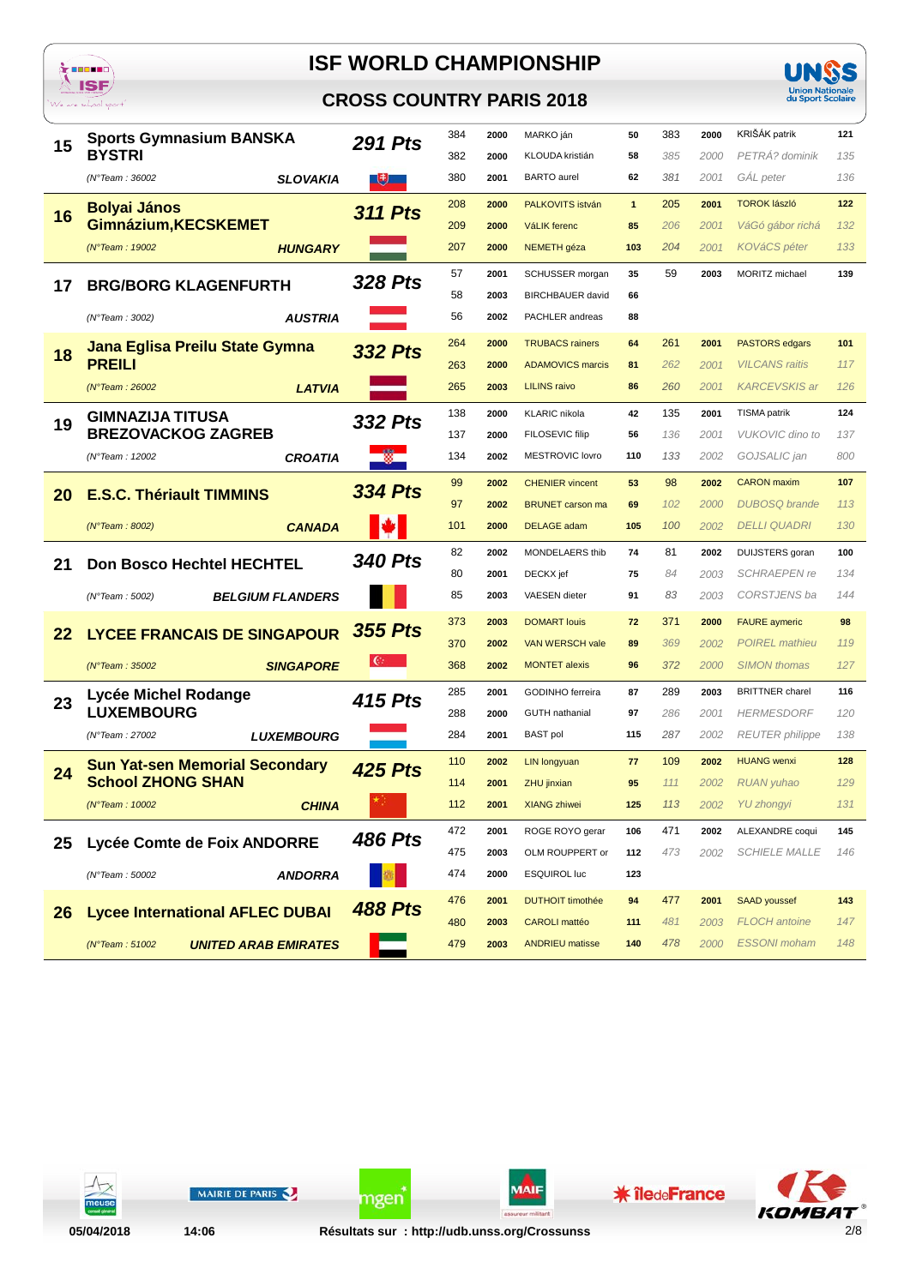





| 15 | <b>Sports Gymnasium BANSKA</b>                | <b>291 Pts</b> | 384 | 2000 | MARKO ján               | 50           | 383 | 2000 | KRIŠÁK patrik          | 121 |
|----|-----------------------------------------------|----------------|-----|------|-------------------------|--------------|-----|------|------------------------|-----|
|    | <b>BYSTRI</b>                                 |                | 382 | 2000 | KLOUDA kristián         | 58           | 385 | 2000 | PETRÁ? dominik         | 135 |
|    | <b>SLOVAKIA</b><br>(N°Team: 36002             | $\overline{a}$ | 380 | 2001 | <b>BARTO</b> aurel      | 62           | 381 | 2001 | GAL peter              | 136 |
| 16 | <b>Bolyai János</b>                           | <b>311 Pts</b> | 208 | 2000 | PALKOVITS istván        | $\mathbf{1}$ | 205 | 2001 | <b>TOROK lászló</b>    | 122 |
|    | Gimnázium, KECSKEMET                          |                | 209 | 2000 | <b>VáLIK</b> ferenc     | 85           | 206 | 2001 | VáGó gábor richá       | 132 |
|    | (N°Team: 19002<br><b>HUNGARY</b>              |                | 207 | 2000 | NEMETH géza             | 103          | 204 | 2001 | KOVáCS péter           | 133 |
|    |                                               | <b>328 Pts</b> | 57  | 2001 | SCHUSSER morgan         | 35           | 59  | 2003 | MORITZ michael         | 139 |
| 17 | <b>BRG/BORG KLAGENFURTH</b>                   |                | 58  | 2003 | <b>BIRCHBAUER</b> david | 66           |     |      |                        |     |
|    | (N°Team: 3002)<br><i><b>AUSTRIA</b></i>       |                | 56  | 2002 | PACHLER andreas         | 88           |     |      |                        |     |
| 18 | Jana Eglisa Preilu State Gymna                | <b>332 Pts</b> | 264 | 2000 | <b>TRUBACS rainers</b>  | 64           | 261 | 2001 | <b>PASTORS edgars</b>  | 101 |
|    | <b>PREILI</b>                                 |                | 263 | 2000 | <b>ADAMOVICS marcis</b> | 81           | 262 | 2001 | <b>VILCANS</b> raitis  | 117 |
|    | <b>LATVIA</b><br>(N°Team : 26002)             |                | 265 | 2003 | <b>LILINS raivo</b>     | 86           | 260 | 2001 | <b>KARCEVSKIS ar</b>   | 126 |
|    | <b>GIMNAZIJA TITUSA</b>                       | 332 Pts        | 138 | 2000 | <b>KLARIC</b> nikola    | 42           | 135 | 2001 | <b>TISMA</b> patrik    | 124 |
| 19 | <b>BREZOVACKOG ZAGREB</b>                     |                | 137 | 2000 | FILOSEVIC filip         | 56           | 136 | 2001 | <b>VUKOVIC</b> dino to | 137 |
|    | <b>CROATIA</b><br>(N°Team: 12002              |                | 134 | 2002 | MESTROVIC lovro         | 110          | 133 | 2002 | GOJSALIC jan           | 800 |
|    |                                               | <b>334 Pts</b> | 99  | 2002 | <b>CHENIER</b> vincent  | 53           | 98  | 2002 | <b>CARON</b> maxim     | 107 |
| 20 | <b>E.S.C. Thériault TIMMINS</b>               |                | 97  | 2002 | <b>BRUNET</b> carson ma | 69           | 102 | 2000 | <b>DUBOSQ</b> brande   | 113 |
|    | (N°Team : 8002)<br><b>CANADA</b>              |                | 101 | 2000 | <b>DELAGE</b> adam      | 105          | 100 | 2002 | <b>DELLI QUADRI</b>    | 130 |
|    |                                               | <b>340 Pts</b> | 82  | 2002 | MONDELAERS thib         | 74           | 81  | 2002 | DUIJSTERS goran        | 100 |
| 21 | <b>Don Bosco Hechtel HECHTEL</b>              |                | 80  | 2001 | DECKX jef               | 75           | 84  | 2003 | <b>SCHRAEPEN re</b>    | 134 |
|    | (N°Team: 5002)<br><b>BELGIUM FLANDERS</b>     |                | 85  | 2003 | VAESEN dieter           | 91           | 83  | 2003 | CORSTJENS ba           | 144 |
|    |                                               | <b>355 Pts</b> | 373 | 2003 | <b>DOMART louis</b>     | 72           | 371 | 2000 | <b>FAURE</b> aymeric   | 98  |
| 22 | <b>LYCEE FRANCAIS DE SINGAPOUR</b>            |                | 370 | 2002 | VAN WERSCH vale         | 89           | 369 | 2002 | <b>POIREL</b> mathieu  | 119 |
|    | (N°Team: 35002<br><b>SINGAPORE</b>            |                | 368 | 2002 | <b>MONTET alexis</b>    | 96           | 372 | 2000 | <b>SIMON</b> thomas    | 127 |
|    | Lycée Michel Rodange                          | 415 Pts        | 285 | 2001 | GODINHO ferreira        | 87           | 289 | 2003 | <b>BRITTNER</b> charel | 116 |
| 23 | <b>LUXEMBOURG</b>                             |                | 288 | 2000 | <b>GUTH</b> nathanial   | 97           | 286 | 2001 | <b>HERMESDORF</b>      | 120 |
|    | (N°Team: 27002<br><b>LUXEMBOURG</b>           |                | 284 | 2001 | <b>BAST</b> pol         | 115          | 287 | 2002 | <b>REUTER</b> philippe | 138 |
|    | <b>Sun Yat-sen Memorial Secondary</b>         | <b>425 Pts</b> | 110 | 2002 | <b>LIN longyuan</b>     | 77           | 109 | 2002 | <b>HUANG</b> wenxi     | 128 |
| 24 | <b>School ZHONG SHAN</b>                      |                | 114 | 2001 | ZHU jinxian             | 95           | 111 | 2002 | <b>RUAN</b> yuhao      | 129 |
|    | (N°Team: 10002<br><b>CHINA</b>                |                | 112 | 2001 | <b>XIANG zhiwei</b>     | 125          | 113 |      | 2002 YU zhongyi        | 131 |
|    |                                               | <b>486 Pts</b> | 472 | 2001 | ROGE ROYO gerar         | 106          | 471 | 2002 | ALEXANDRE coqui        | 145 |
| 25 | Lycée Comte de Foix ANDORRE                   |                | 475 | 2003 | OLM ROUPPERT or         | 112          | 473 | 2002 | <b>SCHIELE MALLE</b>   | 146 |
|    | <b>ANDORRA</b><br>(N°Team: 50002              |                | 474 | 2000 | <b>ESQUIROL luc</b>     | 123          |     |      |                        |     |
|    |                                               | <b>488 Pts</b> | 476 | 2001 | <b>DUTHOIT timothée</b> | 94           | 477 | 2001 | <b>SAAD youssef</b>    | 143 |
| 26 | <b>Lycee International AFLEC DUBAI</b>        |                | 480 | 2003 | <b>CAROLI</b> mattéo    | 111          | 481 | 2003 | <b>FLOCH</b> antoine   | 147 |
|    | (N°Team: 51002<br><b>UNITED ARAB EMIRATES</b> |                | 479 | 2003 | <b>ANDRIEU matisse</b>  | 140          | 478 | 2000 | <b>ESSONI</b> moham    | 148 |



05/04/2018

MAIRIE DE PARIS

ngen

**MAIF** 

**\*** îledeFrance

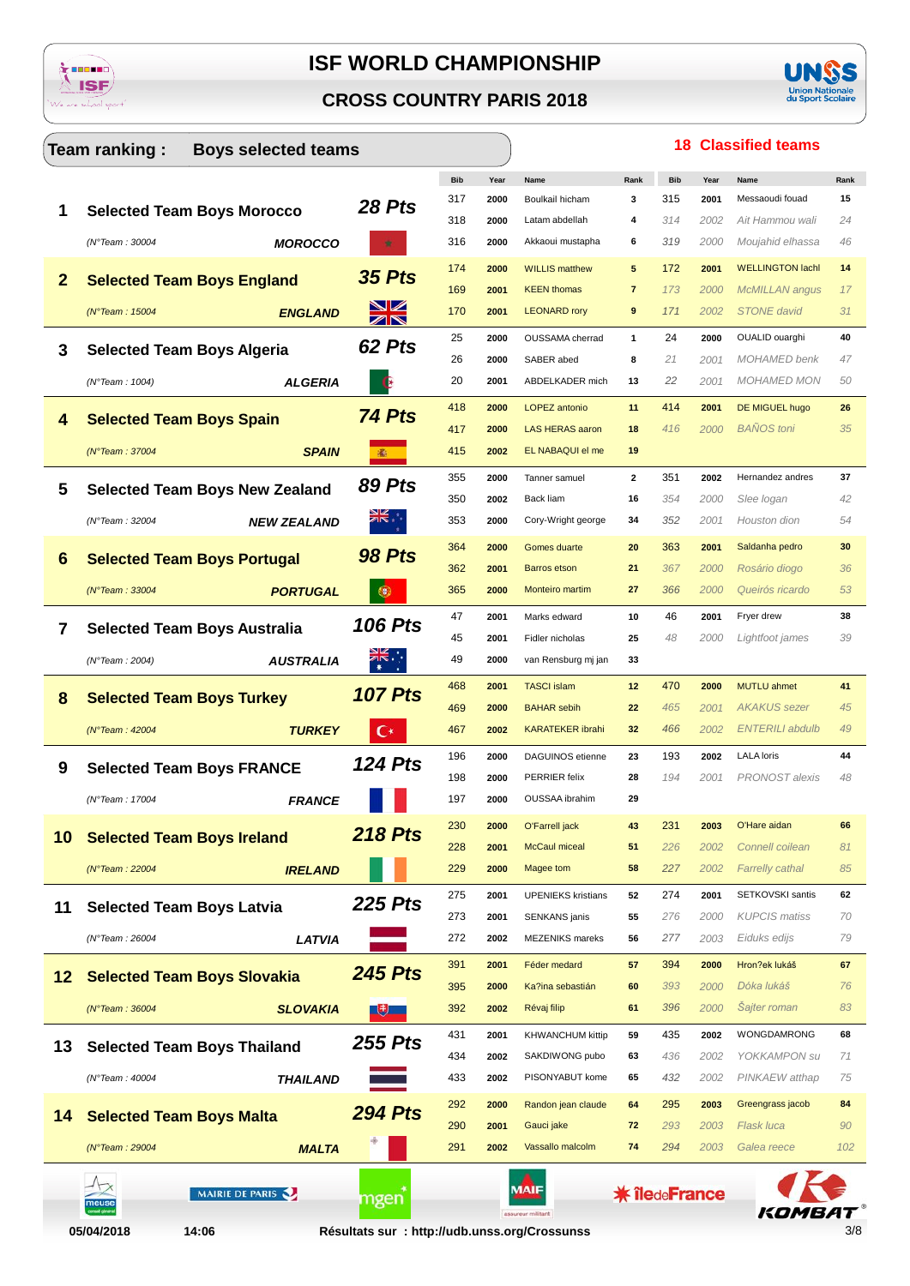





|              | Team ranking:<br><b>Boys selected teams</b> |                                               |            |              |                                |                      |            |      | <b>18 Classified teams</b> |           |
|--------------|---------------------------------------------|-----------------------------------------------|------------|--------------|--------------------------------|----------------------|------------|------|----------------------------|-----------|
|              |                                             |                                               | <b>Bib</b> | Year         | Name                           | Rank                 | <b>Bib</b> | Year | Name                       | Rank      |
|              |                                             | 28 Pts                                        | 317        | 2000         | Boulkail hicham                | 3                    | 315        | 2001 | Messaoudi fouad            | 15        |
|              | <b>Selected Team Boys Morocco</b>           |                                               | 318        | 2000         | Latam abdellah                 | 4                    | 314        | 2002 | Ait Hammou wali            | 24        |
|              | <b>MOROCCO</b><br>(N°Team: 30004            |                                               | 316        | 2000         | Akkaoui mustapha               | 6                    | 319        | 2000 | Moujahid elhassa           | 46        |
| $\mathbf{2}$ |                                             | <b>35 Pts</b>                                 | 174        | 2000         | <b>WILLIS matthew</b>          | 5                    | 172        | 2001 | <b>WELLINGTON lachl</b>    | 14        |
|              | <b>Selected Team Boys England</b>           |                                               | 169        | 2001         | <b>KEEN thomas</b>             | $\overline{7}$       | 173        | 2000 | <b>McMILLAN</b> angus      | 17        |
|              | (N°Team: 15004<br><b>ENGLAND</b>            | XK                                            | 170        | 2001         | <b>LEONARD rory</b>            | 9                    | 171        | 2002 | <b>STONE</b> david         | 31        |
| 3            |                                             | 62 Pts                                        | 25         | 2000         | OUSSAMA cherrad                | $\mathbf{1}$         | 24         | 2000 | OUALID ouarghi             | 40        |
|              | <b>Selected Team Boys Algeria</b>           |                                               | 26         | 2000         | SABER abed                     | 8                    | 21         | 2001 | <b>MOHAMED</b> benk        | 47        |
|              | (N°Team : 1004)<br><b>ALGERIA</b>           |                                               | 20         | 2001         | ABDELKADER mich                | 13                   | 22         | 2001 | <b>MOHAMED MON</b>         | 50        |
| 4            | <b>Selected Team Boys Spain</b>             | 74 Pts                                        | 418        | 2000         | <b>LOPEZ</b> antonio           | 11                   | 414        | 2001 | DE MIGUEL hugo             | 26        |
|              |                                             |                                               | 417        | 2000         | <b>LAS HERAS aaron</b>         | 18                   | 416        | 2000 | <b>BANOS</b> toni          | 35        |
|              | (N°Team: 37004<br><b>SPAIN</b>              | 涵                                             | 415        | 2002         | EL NABAQUI el me               | 19                   |            |      |                            |           |
|              |                                             | <b>89 Pts</b>                                 | 355        | 2000         | Tanner samuel                  | $\overline{2}$       | 351        | 2002 | Hernandez andres           | 37        |
| 5            | <b>Selected Team Boys New Zealand</b>       |                                               | 350        | 2002         | Back liam                      | 16                   | 354        | 2000 | Slee logan                 | 42        |
|              | <b>NEW ZEALAND</b><br>(N°Team: 32004        | <b>NIK</b>                                    | 353        | 2000         | Cory-Wright george             | 34                   | 352        | 2001 | Houston dion               | 54        |
|              |                                             | <b>98 Pts</b>                                 | 364        | 2000         | Gomes duarte                   | 20                   | 363        | 2001 | Saldanha pedro             | 30        |
| 6            | <b>Selected Team Boys Portugal</b>          |                                               | 362        | 2001         | <b>Barros etson</b>            | 21                   | 367        | 2000 | Rosário diogo              | 36        |
|              | $(N°$ Team: 33004<br><b>PORTUGAL</b>        |                                               | 365        | 2000         | Monteiro martim                | 27                   | 366        | 2000 | Queirós ricardo            | 53        |
|              |                                             |                                               | 47         | 2001         | Marks edward                   | 10                   | 46         | 2001 | Fryer drew                 | 38        |
| 7            | <b>Selected Team Boys Australia</b>         | <b>106 Pts</b>                                | 45         | 2001         | Fidler nicholas                | 25                   | 48         | 2000 | Lightfoot james            | 39        |
|              | (N°Team : 2004)<br><b>AUSTRALIA</b>         |                                               | 49         | 2000         | van Rensburg mj jan            | 33                   |            |      |                            |           |
|              |                                             |                                               | 468        | 2001         | <b>TASCI</b> islam             | 12                   | 470        | 2000 | MUTLU ahmet                | 41        |
| 8            | <b>Selected Team Boys Turkey</b>            | <b>107 Pts</b>                                | 469        | 2000         | <b>BAHAR</b> sebih             | 22                   | 465        | 2001 | <b>AKAKUS</b> sezer        | 45        |
|              | <b>TURKEY</b><br>( $N°$ Team : 42004        | €∗                                            | 467        | 2002         | <b>KARATEKER ibrahi</b>        | 32                   | 466        | 2002 | <b>ENTERILI abdulb</b>     | 49        |
|              |                                             |                                               | 196        | 2000         | <b>DAGUINOS</b> etienne        | 23                   | 193        | 2002 | <b>LALA</b> loris          | 44        |
| 9            | <b>Selected Team Boys FRANCE</b>            | <b>124 Pts</b>                                | 198        | 2000         | PERRIER felix                  | 28                   | 194        | 2001 | PRONOST alexis             | 48        |
|              | (N°Team: 17004<br><b>FRANCE</b>             |                                               | 197        | 2000         | OUSSAA ibrahim                 | 29                   |            |      |                            |           |
|              |                                             |                                               | 230        | 2000         | O'Farrell jack                 | 43                   | 231        | 2003 | O'Hare aidan               | 66        |
| 10           | <b>Selected Team Boys Ireland</b>           | <b>218 Pts</b>                                | 228        | 2001         | <b>McCaul miceal</b>           | 51                   | 226        | 2002 | Connell coilean            | 81        |
|              | (N°Team: 22004<br><b>IRELAND</b>            |                                               | 229        | 2000         | Magee tom                      | 58                   | 227        | 2002 | <b>Farrelly cathal</b>     | 85        |
|              |                                             |                                               | 275        | 2001         | <b>UPENIEKS</b> kristians      | 52                   | 274        | 2001 | SETKOVSKI santis           | 62        |
| 11           | <b>Selected Team Boys Latvia</b>            | <b>225 Pts</b>                                | 273        | 2001         | <b>SENKANS</b> janis           | 55                   | 276        | 2000 | <b>KUPCIS</b> matiss       | 70        |
|              | LATVIA<br>(N°Team: 26004                    |                                               | 272        | 2002         | <b>MEZENIKS</b> mareks         | 56                   | 277        | 2003 | Eiduks edijs               | 79        |
|              |                                             |                                               | 391        | 2001         | Féder medard                   | 57                   | 394        | 2000 | Hron?ek lukáš              | 67        |
| 12           | <b>Selected Team Boys Slovakia</b>          | <b>245 Pts</b>                                | 395        | 2000         | Ka?ina sebastián               | 60                   | 393        | 2000 | Dóka lukáš                 | 76        |
|              | (N°Team: 36004<br><b>SLOVAKIA</b>           | $\mathbf{E}$                                  | 392        | 2002         | Révaj filip                    | 61                   | 396        | 2000 | Sajter roman               | 83        |
|              |                                             |                                               | 431        | 2001         | <b>KHWANCHUM kittip</b>        | 59                   | 435        | 2002 | WONGDAMRONG                | 68        |
| 13           | <b>Selected Team Boys Thailand</b>          | <b>255 Pts</b>                                | 434        | 2002         | SAKDIWONG pubo                 | 63                   | 436        | 2002 | YOKKAMPON su               | 71        |
|              | (N°Team: 40004<br><b><i>THAILAND</i></b>    |                                               | 433        | 2002         | PISONYABUT kome                | 65                   | 432        | 2002 | PINKAEW atthap             | 75        |
|              |                                             |                                               |            |              |                                |                      |            |      |                            |           |
| 14           | <b>Selected Team Boys Malta</b>             | <b>294 Pts</b>                                | 292        | 2000         | Randon jean claude             | 64                   | 295        | 2003 | Greengrass jacob           | 84        |
|              |                                             |                                               | 290<br>291 | 2001<br>2002 | Gauci jake<br>Vassallo malcolm | 72<br>74             | 293<br>294 | 2003 | Flask luca<br>Galea reece  | 90<br>102 |
|              | (N°Team: 29004<br><b>MALTA</b>              |                                               |            |              |                                |                      |            | 2003 |                            |           |
|              | MAIRIE DE PARIS                             |                                               |            |              | MAIF                           | <b>* îledeFrance</b> |            |      |                            |           |
|              | meuse                                       | mgen                                          |            |              | assureur militant              |                      |            |      |                            |           |
|              | 05/04/2018<br>14:06                         | Résultats sur : http://udb.unss.org/Crossunss |            |              |                                |                      |            |      |                            | 3/8       |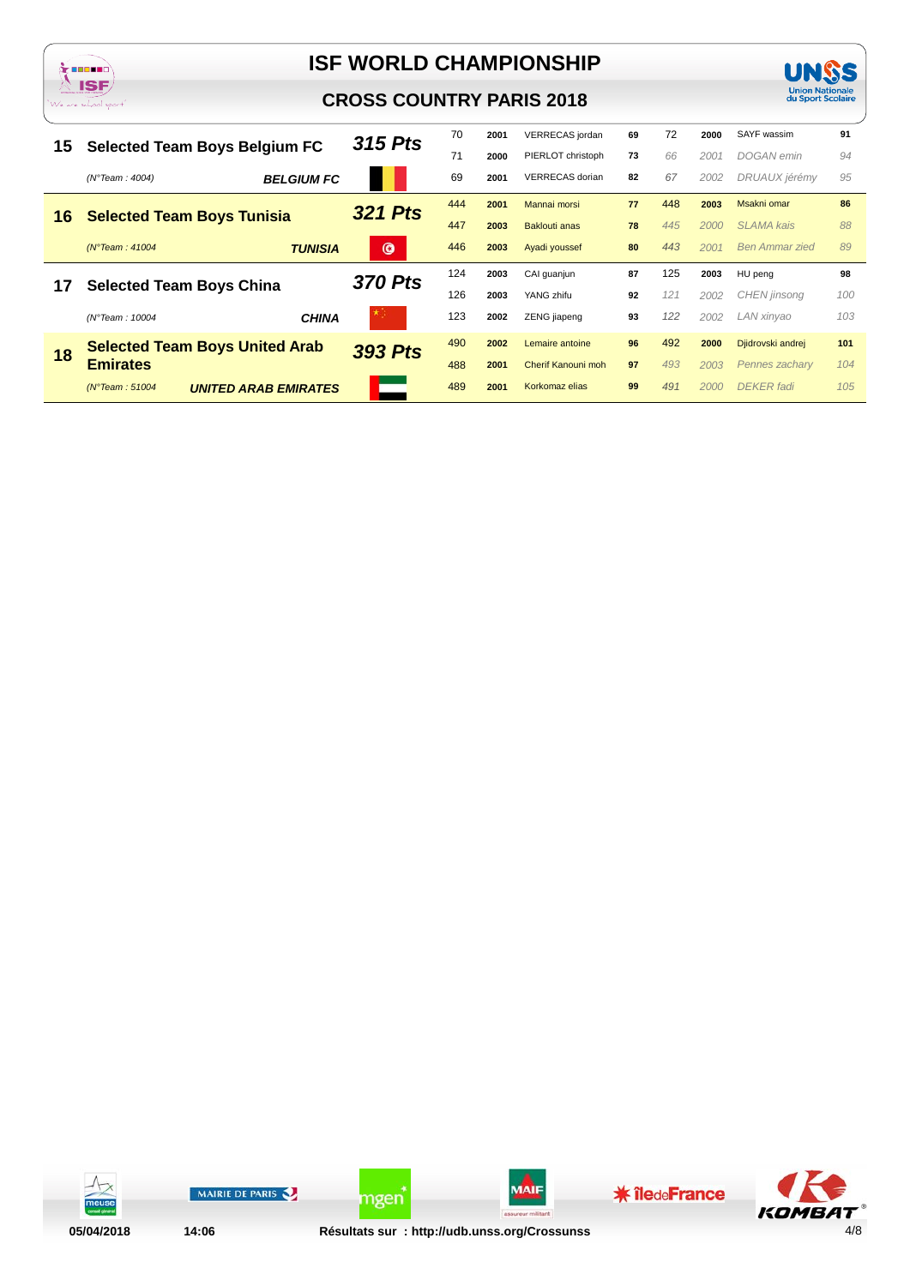



|    |                                                          | 315 Pts        | 70  | 2001 | VERRECAS jordan      | 69 | 72  | 2000 | SAYF wassim           | 91  |
|----|----------------------------------------------------------|----------------|-----|------|----------------------|----|-----|------|-----------------------|-----|
| 15 | <b>Selected Team Boys Belgium FC</b>                     |                | 71  | 2000 | PIERLOT christoph    | 73 | 66  | 2001 | DOGAN emin            | 94  |
|    | <b>BELGIUM FC</b><br>(N°Team : 4004)                     |                | 69  | 2001 | VERRECAS dorian      | 82 | 67  | 2002 | DRUAUX jérémy         | 95  |
|    |                                                          | <b>321 Pts</b> | 444 | 2001 | Mannai morsi         | 77 | 448 | 2003 | Msakni omar           | 86  |
| 16 | <b>Selected Team Boys Tunisia</b>                        |                | 447 | 2003 | <b>Baklouti anas</b> | 78 | 445 | 2000 | <b>SLAMA</b> kais     | 88  |
|    | <b>TUNISIA</b><br>$(N°$ Team : 41004                     | $\bullet$      | 446 | 2003 | Ayadi youssef        | 80 | 443 | 2001 | <b>Ben Ammar zied</b> | 89  |
|    |                                                          |                |     |      |                      |    |     |      |                       |     |
|    |                                                          |                | 124 | 2003 | CAI guanjun          | 87 | 125 | 2003 | HU peng               | 98  |
| 17 | <b>Selected Team Boys China</b>                          | <b>370 Pts</b> | 126 | 2003 | YANG zhifu           | 92 | 121 | 2002 | <b>CHEN</b> jinsong   | 100 |
|    | (N°Team: 10004<br><b>CHINA</b>                           | * ∷            | 123 | 2002 | ZENG jiapeng         | 93 | 122 | 2002 | LAN xinyao            | 103 |
|    |                                                          |                | 490 | 2002 | Lemaire antoine      | 96 | 492 | 2000 | Djidrovski andrej     | 101 |
| 18 | <b>Selected Team Boys United Arab</b><br><b>Emirates</b> | <b>393 Pts</b> | 488 | 2001 | Cherif Kanouni moh   | 97 | 493 | 2003 | Pennes zacharv        | 104 |



**UNSS** Union Nationale<br>du Sport Scolaire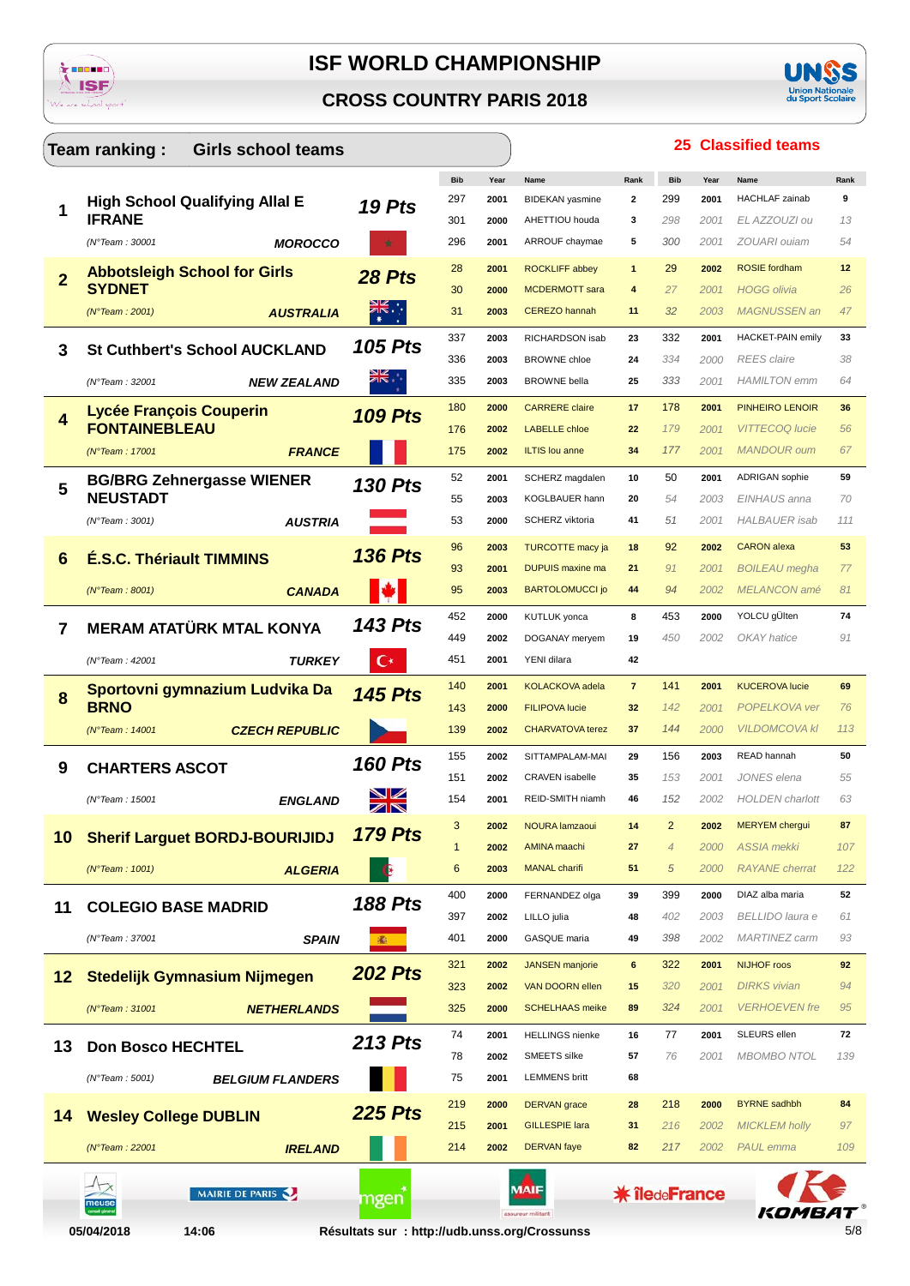





25 Classified teams

### Team ranking: **Girls school teams** Bib Rank Bib Rank Year HACHLAF zainab 297  $\overline{\phantom{a}}$ 299 2001  $\alpha$ **High School Qualifying Allal E** 2001 **BIDEKAN** vasmine  $19P$ ts 1 298 **IFRANE** EL AZZOUZI ou 301 3  $1.3$ 2000 AHETTIOU houda  $2001$ ZOUARI ouiam 296  $\overline{5}$ 300 **MOROCCO** ARROUF chaymae 54  $/N^{\circ}$ Team : 30001 2001  $2001$ 28 ROCKLIFF abbey 29 2002 ROSIE fordbam  $12$ 2001  $\overline{1}$ **Abbotsleigh School for Girls** 28 Pts  $\overline{\mathbf{z}}$ **SYDNET**  $HOGG$  olivia  $30$  $2000$ MCDERMOTT sara  $\overline{A}$  $27$  $2001$  $26$  $(N^{\circ}$ Team  $\cdot$  2001 **AUSTRALIA**  $31$ 2003 **CEREZO hannah**  $11$  $32$ 2003 MAGNUSSEN an  $47$ 337  $2003$ RICHARDSON isab  $332$ 2001 **HACKET-PAIN emily**  $23$ 33 **105 Pts St Cuthbert's School AUCKLAND** 3  $336$ 2003 BROWNE chloe  $24$ 334  $2000$ **REES** claire 38 (N°Team: 32001 335 **BROWNE** bella 25 333 2001 **HAMILTON** emm **NEW ZEALAND** 2003 64 180 2000 CARRERE claire  $17$ 178 2001 PINHEIRO LENOIR 36 Lycée Francois Couperin **109 Pts**  $\overline{\mathbf{4}}$ **FONTAINEBLEAU** 176 2002 LABELLE chloe  $\overline{22}$ 179  $2001$ VITTECOO lucie 56  $(N°T<sub>cam</sub> · 17001$ 175 2002 Il TIS lou anne  $34$ 177 2001 MANDOUR oum 67 **FRANCE** 52 2001 SCHERZ mandalen 50 ADRIGAN sophie 59  $10$ 2001 **BG/BRG Zehnergasse WIENER 130 Pts** 5 **KOGLBAUER hann NEUSTADT** 55  $20$ FINHAUS anna 54 2003 2003  $70$  $(N°Team : 3001)$ SCHERZ viktoria  $41$  $53$  $.51$ **HAI BAUFR** isab **AUSTRIA** 2000  $2001$ 111 CARON alexa 96 2003 **TURCOTTE macy ia**  $18$  $Q<sub>2</sub>$ 2002 53 **136 Pts** 6 **É.S.C. Thériault TIMMINS** DHPHIS maying ma  $93$ 2001  $21$ 91  $2001$ **BOILEAU** meaha  $77$  $(N°$ Team : 8001) **CANADA**  $Q<sub>5</sub>$  $2003$ **BARTOLOMUCCI io**  $\overline{A}$  $Q_{\mathcal{A}}$ 2002 MELANCON amé  $R<sub>1</sub>$ 452 2000 **KUTLUK** vonca 8 453 2000 YOLCU gÜlten  $74$ **143 Pts**  $\overline{7}$ **MERAM ATATÜRK MTAL KONYA** 449 2002 DOGANAY meryem 19  $450$ OKAY hatice  $Q<sub>1</sub>$ 2002 (N°Team: 42001 **TURKEY** 451 2001  $42$ YENI dilara 140 **KOLACKOVA** adela 141 **KUCEROVA lucie** 69  $\overline{7}$ 2001 Sportovni gymnazium Ludvika Da 2001 **145 Pts** 8 **BRNO** 143 2000 FILIPOVA lucie  $32$  $142$ POPEL KOVA Vel 76 2001 (N°Team: 14001 **CZECH REPUBLIC** 139 CHARVATOVA terez 144  $2000$ **VILDOMCOVA kI**  $113$ 2002  $37$ 155 SITTAMPALAM-MAI 156 READ hannah 2002  $29$ 2003 50 **160 Pts CHARTERS ASCOT** 9 JONES elena 151 2002 CRAVEN isabelle  $35$ 153  $2001$ 55 REID-SMITH niamh 154 46 HOLDEN charlott  $/N^{\circ}$ Team  $\cdot$  15001 **FNGI AND** 2001 152 2002 63  $ZN$  $\overline{3}$ 2002 NOLIRA Jamzanui  $14$  $\mathcal{P}$ 2002 **MERYEM** cheraul 87 **179 Pts Sherif Larguet BORDJ-BOURIJIDJ** 10 ASSIA mekki  $\overline{1}$ 2002 AMINA maachi  $27$  $\overline{4}$ 2000  $107$  $(N^{\circ}$ Team: 1001 6 2003 MANAL charifi 51  $\overline{5}$  $2000$ **RAYANE** cherral  $122$ **ALGERIA** 400 FERNANDEZ olga 399 DIAZ alba maria  $52$ 2000 39 2000 **188 Pts COLEGIO BASE MADRID**  $11$ 397 LILLO iulia  $\overline{AB}$ 402 2003 **BELLIDO** laura e 2002 61 401 GASQUE maria 49 398 MARTINEZ carm  $O<sub>3</sub>$ (N°Team: 37001 **SPAIN** 2000 2002  $\mathcal{R}_i$ NIJHOF roos  $321$ **JANSEN** manjorie  $322$  $2001$ 92  $2002$ ĥ. **202 Pts**  $12$ **Stedelijk Gymnasium Nijmegen** 323 VAN DOORN ellen 15  $320$ 2001 **DIRKS** vivian 2002 94 (N°Team: 31001 325 2000 **SCHELHAAS** meike 89  $324$ 2001 **VERHOEVEN** fre 95 **NETHERLANDS** SLEURS ellen 74 HFLLINGS nienke  $77$ 72 2001 16 2001 **213 Pts**  $13$ **Don Bosco HECHTEL** 76 **MBOMBO NTOL** 78 2002 SMEETS silke 139 57  $2001$ 75  $(N°T<sub>eam</sub> · 5001)$ **BELGIUM FLANDERS** 2001 **LEMMENS britt** 68  $210$ 2000 DERVAN grace  $28$  $218$ 2000 **RYRNE** sadhhh  $RA$ **225 Pts**  $14$ **Wesley College DUBLIN**  $215$ 2001 GILLESPIE lara  $31$  $216$ 2002 **MICKI FM holly** 97 (N°Team : 22001 **IRELAND**  $214$ 2002 **DERVAN** faye  $82$  $217$  $2002$ PAUL emma 109  $A_{\times}$ MAIF **MAIRIE DE PARIS \* îledeFrance** ngen meus

05/04/2018

14:06

Résultats sur : http://udb.unss.org/Crossunss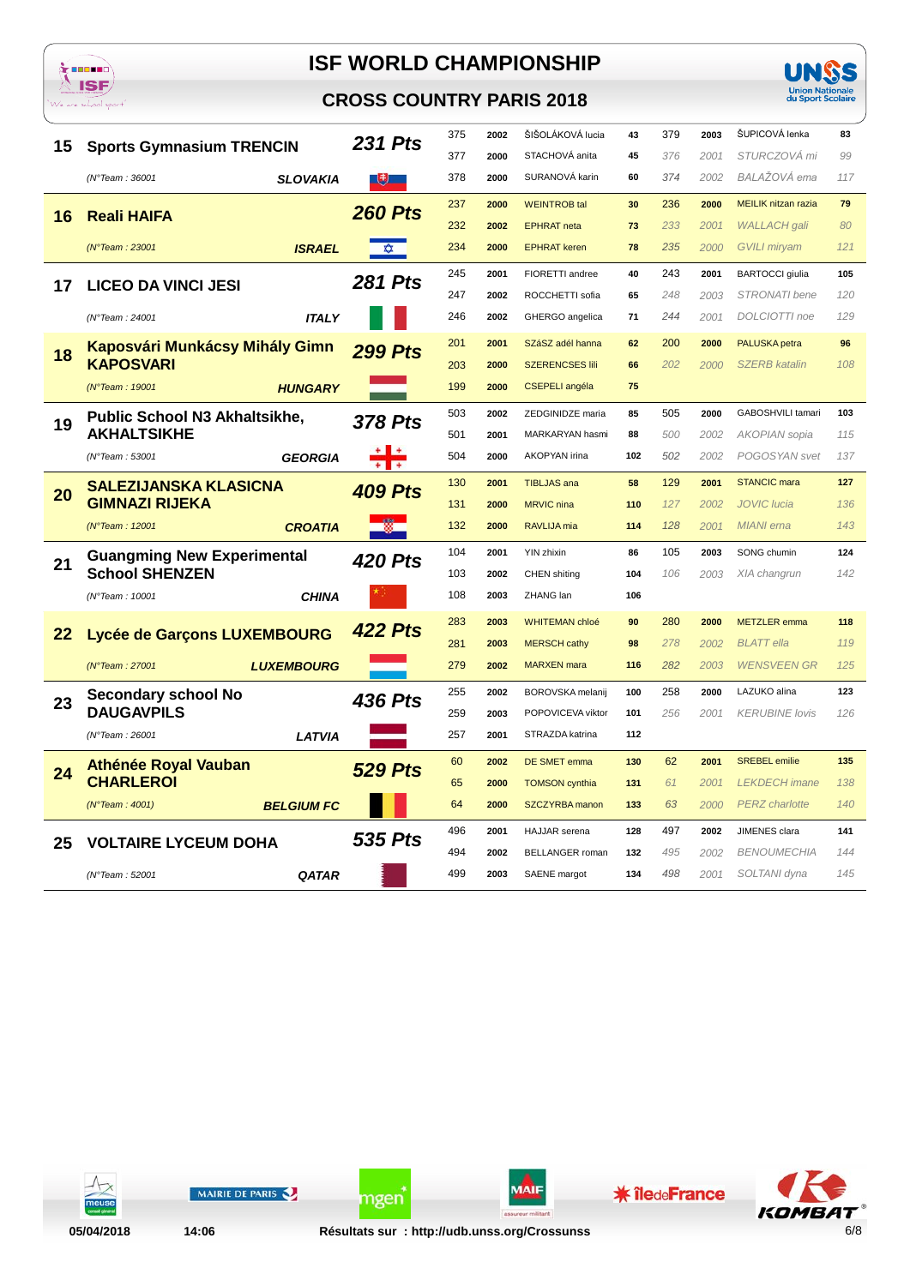

### **CROSS COUNTRY PARIS 2018**



|    | <b>Sports Gymnasium TRENCIN</b>       | <b>231 Pts</b> | 375 | 2002 | ŠIŠOLÁKOVÁ lucia       | 43  | 379 | 2003 | ŠUPICOVÁ lenka             | 83  |
|----|---------------------------------------|----------------|-----|------|------------------------|-----|-----|------|----------------------------|-----|
| 15 |                                       |                | 377 | 2000 | STACHOVÁ anita         | 45  | 376 | 2001 | STURCZOVÁ mi               | 99  |
|    | (N°Team: 36001<br><b>SLOVAKIA</b>     | u,             | 378 | 2000 | SURANOVÁ karin         | 60  | 374 | 2002 | BALAŽOVÁ ema               | 117 |
|    |                                       | <b>260 Pts</b> | 237 | 2000 | <b>WEINTROB tal</b>    | 30  | 236 | 2000 | <b>MEILIK nitzan razia</b> | 79  |
| 16 | <b>Reali HAIFA</b>                    |                | 232 | 2002 | <b>EPHRAT</b> neta     | 73  | 233 | 2001 | <b>WALLACH</b> gali        | 80  |
|    | <b>ISRAEL</b><br>(N°Team : 23001      | <b>x</b>       | 234 | 2000 | <b>EPHRAT keren</b>    | 78  | 235 | 2000 | <b>GVILI miryam</b>        | 121 |
|    | <b>LICEO DA VINCI JESI</b>            | <b>281 Pts</b> | 245 | 2001 | FIORETTI andree        | 40  | 243 | 2001 | <b>BARTOCCI</b> giulia     | 105 |
| 17 |                                       |                | 247 | 2002 | ROCCHETTI sofia        | 65  | 248 | 2003 | STRONATI bene              | 120 |
|    | (N°Team: 24001<br><b>ITALY</b>        |                | 246 | 2002 | GHERGO angelica        | 71  | 244 | 2001 | DOLCIOTTI noe              | 129 |
| 18 | <b>Kaposvári Munkácsy Mihály Gimn</b> | <b>299 Pts</b> | 201 | 2001 | SZáSZ adél hanna       | 62  | 200 | 2000 | PALUSKA petra              | 96  |
|    | <b>KAPOSVARI</b>                      |                | 203 | 2000 | <b>SZERENCSES IIII</b> | 66  | 202 | 2000 | <b>SZERB</b> katalin       | 108 |
|    | (N°Team: 19001<br><b>HUNGARY</b>      |                | 199 | 2000 | <b>CSEPELI</b> angéla  | 75  |     |      |                            |     |
|    | <b>Public School N3 Akhaltsikhe,</b>  | <b>378 Pts</b> | 503 | 2002 | ZEDGINIDZE maria       | 85  | 505 | 2000 | GABOSHVILI tamari          | 103 |
| 19 | <b>AKHALTSIKHE</b>                    |                | 501 | 2001 | MARKARYAN hasmi        | 88  | 500 | 2002 | <b>AKOPIAN</b> sopia       | 115 |
|    | (N°Team: 53001<br><b>GEORGIA</b>      |                | 504 | 2000 | AKOPYAN irina          | 102 | 502 | 2002 | POGOSYAN svet              | 137 |
|    | <b>SALEZIJANSKA KLASICNA</b>          | <b>409 Pts</b> | 130 | 2001 | <b>TIBLJAS</b> ana     | 58  | 129 | 2001 | <b>STANCIC mara</b>        | 127 |
| 20 | <b>GIMNAZI RIJEKA</b>                 |                | 131 | 2000 | <b>MRVIC</b> nina      | 110 | 127 | 2002 | <b>JOVIC</b> lucia         | 136 |
|    | (N°Team: 12001<br><b>CROATIA</b>      |                | 132 | 2000 | RAVLIJA mia            | 114 | 128 | 2001 | <b>MIANI</b> erna          | 143 |
| 21 | <b>Guangming New Experimental</b>     | 420 Pts        | 104 | 2001 | YIN zhixin             | 86  | 105 | 2003 | SONG chumin                | 124 |
|    | <b>School SHENZEN</b>                 |                | 103 | 2002 | CHEN shiting           | 104 | 106 | 2003 | XIA changrun               | 142 |
|    | (N°Team: 10001<br><b>CHINA</b>        |                | 108 | 2003 | ZHANG lan              | 106 |     |      |                            |     |
|    |                                       | <b>422 Pts</b> | 283 | 2003 | <b>WHITEMAN chloé</b>  | 90  | 280 | 2000 | <b>METZLER</b> emma        | 118 |
| 22 | Lycée de Garçons LUXEMBOURG           |                | 281 | 2003 | <b>MERSCH cathy</b>    | 98  | 278 | 2002 | <b>BLATT</b> ella          | 119 |
|    | (N°Team: 27001<br><b>LUXEMBOURG</b>   |                | 279 | 2002 | <b>MARXEN</b> mara     | 116 | 282 | 2003 | <b>WENSVEEN GR</b>         | 125 |
|    | <b>Secondary school No</b>            | <b>436 Pts</b> | 255 | 2002 | BOROVSKA melanij       | 100 | 258 | 2000 | LAZUKO alina               | 123 |
| 23 | <b>DAUGAVPILS</b>                     |                | 259 | 2003 | POPOVICEVA viktor      | 101 | 256 | 2001 | <b>KERUBINE lovis</b>      | 126 |
|    | (N°Team: 26001<br><b>LATVIA</b>       |                | 257 | 2001 | STRAZDA katrina        | 112 |     |      |                            |     |
|    | <b>Athénée Royal Vauban</b>           | <b>529 Pts</b> | 60  | 2002 | DE SMET emma           | 130 | 62  | 2001 | <b>SREBEL</b> emilie       | 135 |
| 24 | <b>CHARLEROI</b>                      |                | 65  | 2000 | <b>TOMSON</b> cynthia  | 131 | 61  | 2001 | <b>LEKDECH</b> imane       | 138 |
|    | (N°Team : 4001)<br><b>BELGIUM FC</b>  |                | 64  | 2000 | SZCZYRBA manon         | 133 | 63  | 2000 | <b>PERZ</b> charlotte      | 140 |
|    |                                       | <b>535 Pts</b> | 496 | 2001 | HAJJAR serena          | 128 | 497 | 2002 | JIMENES clara              | 141 |
| 25 | <b>VOLTAIRE LYCEUM DOHA</b>           |                | 494 | 2002 | <b>BELLANGER</b> roman | 132 | 495 | 2002 | <b>BENOUMECHIA</b>         | 144 |
|    | <b>QATAR</b><br>(N°Team: 52001        |                | 499 | 2003 | SAENE margot           | 134 | 498 | 2001 | SOLTANI dyna               | 145 |
|    |                                       |                |     |      |                        |     |     |      |                            |     |



05/04/2018

MAIRIE DE PARIS

ngen

**MAIF** 

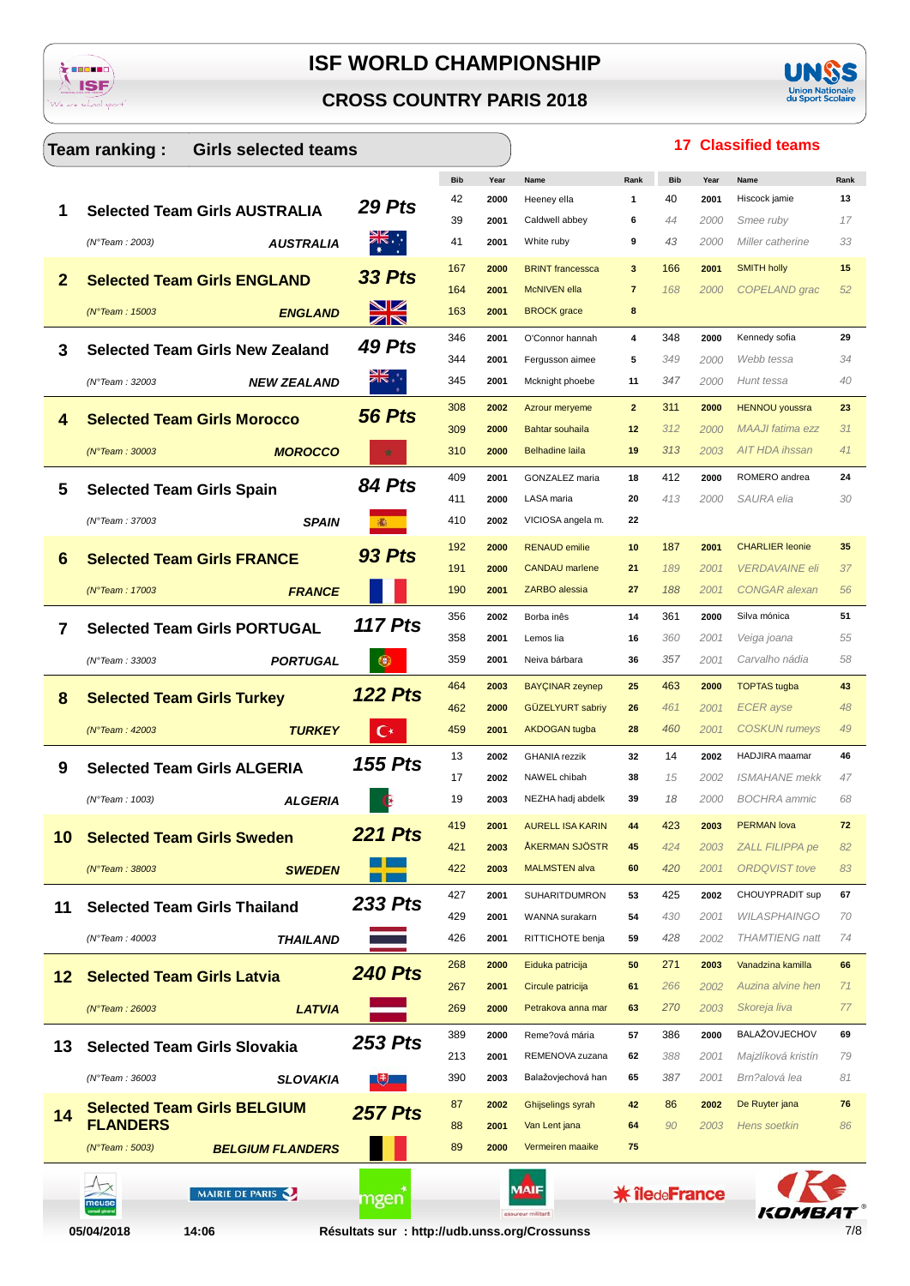





|    | Team ranking:<br><b>Girls selected teams</b> |                |            |              |                                                   |                |                      |              | <b>17 Classified teams</b>                    |          |
|----|----------------------------------------------|----------------|------------|--------------|---------------------------------------------------|----------------|----------------------|--------------|-----------------------------------------------|----------|
|    |                                              |                | <b>Bib</b> | Year         | Name                                              | Rank           | <b>Bib</b>           | Year         | Name                                          | Rank     |
| 1  | <b>Selected Team Girls AUSTRALIA</b>         | 29 Pts         | 42         | 2000         | Heeney ella                                       | 1              | 40                   | 2001         | Hiscock jamie                                 | 13       |
|    |                                              |                | 39         | 2001         | Caldwell abbey                                    | 6              | 44                   | 2000         | Smee ruby                                     | 17       |
|    | (N°Team: 2003)<br><b>AUSTRALIA</b>           | ৰ্ছ∴া          | 41         | 2001         | White ruby                                        | 9              | 43                   | 2000         | Miller catherine                              | 33       |
| 2  | <b>Selected Team Girls ENGLAND</b>           | <b>33 Pts</b>  | 167        | 2000         | <b>BRINT</b> francessca                           | 3              | 166                  | 2001         | <b>SMITH holly</b>                            | 15       |
|    |                                              |                | 164        | 2001         | <b>McNIVEN</b> ella                               | $\overline{7}$ | 168                  | 2000         | COPELAND grac                                 | 52       |
|    | $(N°$ Team : 15003<br><b>ENGLAND</b>         | XK             | 163        | 2001         | <b>BROCK</b> grace                                | 8              |                      |              |                                               |          |
| 3  | <b>Selected Team Girls New Zealand</b>       | 49 Pts         | 346        | 2001         | O'Connor hannah                                   | 4              | 348                  | 2000         | Kennedy sofia                                 | 29       |
|    |                                              |                | 344        | 2001         | Fergusson aimee                                   | 5              | 349                  | 2000         | Webb tessa                                    | 34       |
|    | (N°Team: 32003<br><b>NEW ZEALAND</b>         |                | 345        | 2001         | Mcknight phoebe                                   | 11             | 347                  | 2000         | Hunt tessa                                    | 40       |
| 4  | <b>Selected Team Girls Morocco</b>           | <b>56 Pts</b>  | 308        | 2002         | Azrour meryeme                                    | $\overline{2}$ | 311                  | 2000         | <b>HENNOU</b> youssra                         | 23       |
|    |                                              |                | 309        | 2000         | Bahtar souhaila                                   | 12             | 312                  | 2000         | <b>MAAJI</b> fatima ezz<br>AIT HDA ihssan     | 31       |
|    | <b>MOROCCO</b><br>(N°Team : 30003            |                | 310        | 2000         | <b>Belhadine laila</b>                            | 19             | 313                  | 2003         |                                               | 41       |
| 5  | <b>Selected Team Girls Spain</b>             | 84 Pts         | 409        | 2001         | GONZALEZ maria                                    | 18             | 412                  | 2000         | ROMERO andrea                                 | 24       |
|    |                                              |                | 411<br>410 | 2000         | LASA maria                                        | 20<br>22       | 413                  | 2000         | SAURA elia                                    | 30       |
|    | <b>SPAIN</b><br>(N°Team: 37003               | 圖              |            | 2002         | VICIOSA angela m.                                 |                |                      |              |                                               |          |
| 6  | <b>Selected Team Girls FRANCE</b>            | <b>93 Pts</b>  | 192        | 2000         | <b>RENAUD emilie</b>                              | 10             | 187                  | 2001         | <b>CHARLIER leonie</b>                        | 35       |
|    |                                              |                | 191<br>190 | 2000         | <b>CANDAU</b> marlene<br>ZARBO alessia            | 21<br>27       | 189<br>188           | 2001         | <b>VERDAVAINE eli</b><br><b>CONGAR</b> alexan | 37<br>56 |
|    | (N°Team: 17003<br><b>FRANCE</b>              |                |            | 2001         |                                                   |                |                      | 2001         |                                               |          |
| 7  | <b>Selected Team Girls PORTUGAL</b>          | <b>117 Pts</b> | 356        | 2002         | Borba inês                                        | 14             | 361                  | 2000         | Silva mónica                                  | 51       |
|    | <b>PORTUGAL</b><br>(N°Team: 33003            |                | 358<br>359 | 2001<br>2001 | Lemos lia<br>Neiva bárbara                        | 16<br>36       | 360<br>357           | 2001<br>2001 | Veiga joana<br>Carvalho nádia                 | 55<br>58 |
|    |                                              |                |            |              |                                                   |                |                      |              |                                               |          |
| 8  | <b>Selected Team Girls Turkey</b>            | <b>122 Pts</b> | 464<br>462 | 2003<br>2000 | <b>BAYÇINAR zeynep</b><br><b>GÜZELYURT sabriy</b> | 25<br>26       | 463<br>461           | 2000<br>2001 | <b>TOPTAS</b> tugba<br><b>ECER</b> ayse       | 43<br>48 |
|    | <b>TURKEY</b><br>$(N°$ Team : 42003          | C*             | 459        | 2001         | <b>AKDOGAN</b> tugba                              | 28             | 460                  | 2001         | <b>COSKUN</b> rumeys                          | 49       |
|    |                                              |                |            |              |                                                   |                | 14                   |              | HADJIRA maamar                                |          |
| 9  | <b>Selected Team Girls ALGERIA</b>           | <b>155 Pts</b> | 13<br>17   | 2002<br>2002 | <b>GHANIA</b> rezzik<br>NAWEL chibah              | 32<br>38       | 15                   | 2002<br>2002 | <b>ISMAHANE</b> mekk                          | 46<br>47 |
|    | (N°Team: 1003)<br><b>ALGERIA</b>             |                | 19         | 2003         | NEZHA hadj abdelk                                 | 39             | 18                   | 2000         | <b>BOCHRA</b> ammic                           | 68       |
|    |                                              |                | 419        | 2001         | <b>AURELL ISA KARIN</b>                           | 44             | 423                  | 2003         | <b>PERMAN lova</b>                            | 72       |
| 10 | <b>Selected Team Girls Sweden</b>            | <b>221 Pts</b> | 421        | 2003         | <b>ÅKERMAN SJÖSTR</b>                             | 45             | 424                  | 2003         | <b>ZALL FILIPPA pe</b>                        | 82       |
|    | $(N°$ Team: 38003<br><b>SWEDEN</b>           |                | 422        | 2003         | <b>MALMSTEN alva</b>                              | 60             | 420                  | 2001         | <b>ORDQVIST</b> tove                          | 83       |
|    |                                              |                | 427        | 2001         | <b>SUHARITDUMRON</b>                              | 53             | 425                  | 2002         | CHOUYPRADIT sup                               | 67       |
| 11 | <b>Selected Team Girls Thailand</b>          | <b>233 Pts</b> | 429        | 2001         | WANNA surakarn                                    | 54             | 430                  | 2001         | <b>WILASPHAINGO</b>                           | 70       |
|    | (N°Team: 40003<br>THAILAND                   |                | 426        | 2001         | RITTICHOTE benja                                  | 59             | 428                  | 2002         | <b>THAMTIENG</b> natt                         | 74       |
|    |                                              |                | 268        | 2000         | Eiduka patricija                                  | 50             | 271                  | 2003         | Vanadzina kamilla                             | 66       |
| 12 | <b>Selected Team Girls Latvia</b>            | <b>240 Pts</b> | 267        | 2001         | Circule patricija                                 | 61             | 266                  | 2002         | Auzina alvine hen                             | 71       |
|    | <b>LATVIA</b><br>$(N°$ Team : 26003          |                | 269        | 2000         | Petrakova anna mar                                | 63             | 270                  | 2003         | Skoreja liva                                  | 77       |
|    |                                              |                | 389        | 2000         | Reme?ová mária                                    | 57             | 386                  | 2000         | BALAŽOVJECHOV                                 | 69       |
| 13 | <b>Selected Team Girls Slovakia</b>          | <b>253 Pts</b> | 213        | 2001         | REMENOVA zuzana                                   | 62             | 388                  | 2001         | Majzlíková kristín                            | 79       |
|    | $(N°$ Team: 36003<br><b>SLOVAKIA</b>         |                | 390        | 2003         | Balažovjechová han                                | 65             | 387                  | 2001         | Brn?alová lea                                 | 81       |
|    | <b>Selected Team Girls BELGIUM</b>           |                | 87         | 2002         | Ghijselings syrah                                 | 42             | 86                   | 2002         | De Ruyter jana                                | 76       |
| 14 | <b>FLANDERS</b>                              | <b>257 Pts</b> | 88         | 2001         | Van Lent jana                                     | 64             | 90                   | 2003         | Hens soetkin                                  | 86       |
|    | <b>BELGIUM FLANDERS</b><br>(N°Team : 5003)   |                | 89         | 2000         | Vermeiren maaike                                  | 75             |                      |              |                                               |          |
|    |                                              |                |            |              |                                                   |                |                      |              |                                               |          |
|    | MAIRIE DE PARIS                              | mgen           |            |              | MAIF                                              |                | <b>* îledeFrance</b> |              |                                               |          |
|    |                                              |                |            |              | assureur militan                                  |                |                      |              |                                               |          |

 $7/8$